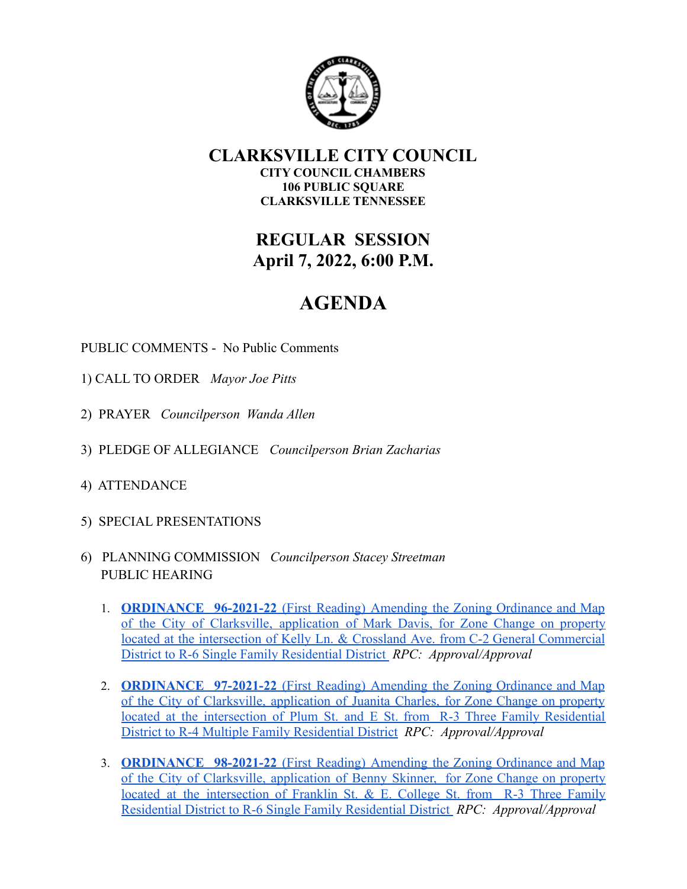

#### **CLARKSVILLE CITY COUNCIL CITY COUNCIL CHAMBERS 106 PUBLIC SQUARE CLARKSVILLE TENNESSEE**

## **REGULAR SESSION April 7, 2022, 6:00 P.M.**

# **AGENDA**

PUBLIC COMMENTS - No Public Comments

- 1) CALL TO ORDER *Mayor Joe Pitts*
- 2) PRAYER *Councilperson Wanda Allen*
- 3) PLEDGE OF ALLEGIANCE *Councilperson Brian Zacharias*
- 4) ATTENDANCE
- 5) SPECIAL PRESENTATIONS
- 6) PLANNING COMMISSION *Councilperson Stacey Streetman* PUBLIC HEARING
	- 1. **[ORDINANCE](https://drive.google.com/file/d/1B4ZonZDYIyX_BmbfXvM-Axqg1--__tEF/view?usp=sharing) 96-2021-22** (First Reading) Amending the Zoning Ordinance and Map of the City of [Clarksville,](https://drive.google.com/file/d/1B4ZonZDYIyX_BmbfXvM-Axqg1--__tEF/view?usp=sharing) application of Mark Davis, for Zone Change on property located at the intersection of Kelly Ln. & Crossland Ave. from C-2 General [Commercial](https://drive.google.com/file/d/1B4ZonZDYIyX_BmbfXvM-Axqg1--__tEF/view?usp=sharing) [District to R-6 Single Family Residential District](https://drive.google.com/file/d/1B4ZonZDYIyX_BmbfXvM-Axqg1--__tEF/view?usp=sharing) *RPC: Approval/Approval*
	- 2. **[ORDINANCE](https://drive.google.com/file/d/1B4a-ATDB_NAM2zwuVqdlr2AzMO0Pf6Ds/view?usp=sharing) 97-2021-22** (First Reading) Amending the Zoning Ordinance and Map of the City of [Clarksville,](https://drive.google.com/file/d/1B4a-ATDB_NAM2zwuVqdlr2AzMO0Pf6Ds/view?usp=sharing) application of Juanita Charles, for Zone Change on property located at the [intersection](https://drive.google.com/file/d/1B4a-ATDB_NAM2zwuVqdlr2AzMO0Pf6Ds/view?usp=sharing) of Plum St. and E St. from R-3 Three Family Residential [District to R-4 Multiple Family Residential District](https://drive.google.com/file/d/1B4a-ATDB_NAM2zwuVqdlr2AzMO0Pf6Ds/view?usp=sharing) *RPC: Approval/Approval*
	- 3. **[ORDINANCE](https://drive.google.com/file/d/1BJI1e2qSe941MErAibixH4tEjX9nvo8-/view?usp=sharing) 98-2021-22** (First Reading) Amending the Zoning Ordinance and Map of the City of [Clarksville,](https://drive.google.com/file/d/1BJI1e2qSe941MErAibixH4tEjX9nvo8-/view?usp=sharing) application of Benny Skinner, for Zone Change on property located at the [intersection](https://drive.google.com/file/d/1BJI1e2qSe941MErAibixH4tEjX9nvo8-/view?usp=sharing) of Franklin St. & E. College St. from R-3 Three Family [Residential District to R-6 Single Family Residential District](https://drive.google.com/file/d/1BJI1e2qSe941MErAibixH4tEjX9nvo8-/view?usp=sharing) *RPC: Approval/Approval*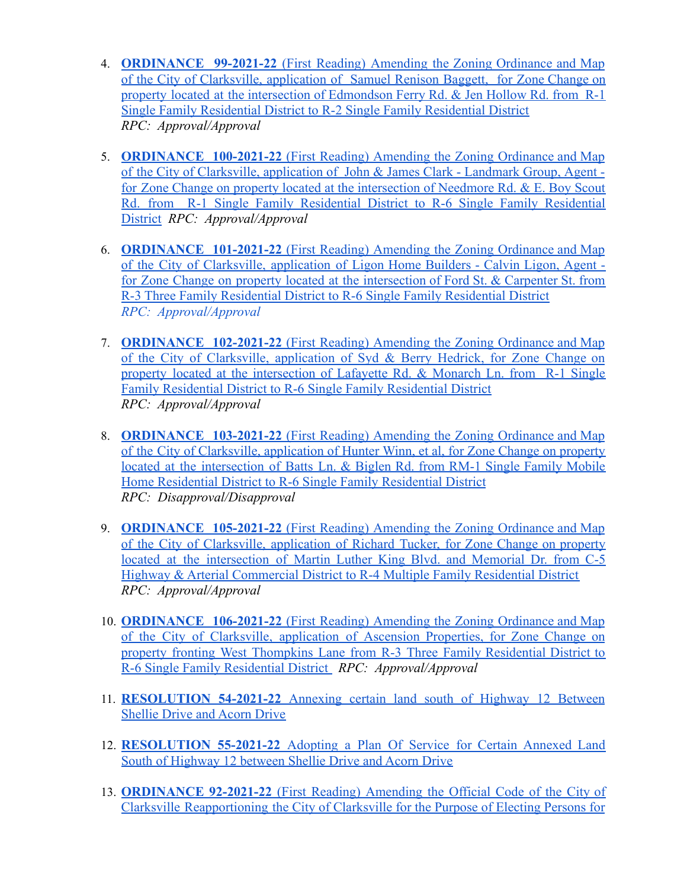- 4. **[ORDINANCE](https://drive.google.com/file/d/1BN9XmkCdlrtA-ILFIqQatuLZHZV24qJW/view?usp=sharing) 99-2021-22** (First Reading) Amending the Zoning Ordinance and Map of the City of [Clarksville,](https://drive.google.com/file/d/1BN9XmkCdlrtA-ILFIqQatuLZHZV24qJW/view?usp=sharing) application of Samuel Renison Baggett, for Zone Change on property located at the intersection of [Edmondson](https://drive.google.com/file/d/1BN9XmkCdlrtA-ILFIqQatuLZHZV24qJW/view?usp=sharing) Ferry Rd. & Jen Hollow Rd. from R-1 [Single Family Residential District to R-2 Single Family Residential District](https://drive.google.com/file/d/1BN9XmkCdlrtA-ILFIqQatuLZHZV24qJW/view?usp=sharing) *RPC: Approval/Approval*
- 5. **[ORDINANCE](https://drive.google.com/file/d/1BUNdv5yz1PKxtkcjSy2P4EwHP2fILC1x/view?usp=sharing) 100-2021-22** (First Reading) Amending the Zoning Ordinance and Map of the City of [Clarksville,](https://drive.google.com/file/d/1BUNdv5yz1PKxtkcjSy2P4EwHP2fILC1x/view?usp=sharing) application of John & James Clark - Landmark Group, Agent for Zone Change on property located at the [intersection](https://drive.google.com/file/d/1BUNdv5yz1PKxtkcjSy2P4EwHP2fILC1x/view?usp=sharing) of Needmore Rd. & E. Boy Scout Rd. from R-1 Single Family [Residential](https://drive.google.com/file/d/1BUNdv5yz1PKxtkcjSy2P4EwHP2fILC1x/view?usp=sharing) District to R-6 Single Family Residential [District](https://drive.google.com/file/d/1BUNdv5yz1PKxtkcjSy2P4EwHP2fILC1x/view?usp=sharing) *RPC: Approval/Approval*
- 6. **[ORDINANCE](https://drive.google.com/file/d/1BY489hjNnYWMeWz4jIBatMzGu3zAIzZA/view?usp=sharing) 101-2021-22** (First Reading) Amending the Zoning Ordinance and Map of the City of [Clarksville,](https://drive.google.com/file/d/1BY489hjNnYWMeWz4jIBatMzGu3zAIzZA/view?usp=sharing) application of Ligon Home Builders - Calvin Ligon, Agent for Zone Change on property located at the [intersection](https://drive.google.com/file/d/1BY489hjNnYWMeWz4jIBatMzGu3zAIzZA/view?usp=sharing) of Ford St. & Carpenter St. from [R-3 Three Family Residential District to R-6 Single Family Residential District](https://drive.google.com/file/d/1BY489hjNnYWMeWz4jIBatMzGu3zAIzZA/view?usp=sharing) *RPC: Approval/Approval*
- 7. **[ORDINANCE](https://drive.google.com/file/d/1Bek6ZECoh6IUYGB0y_c5I8nFTLrZezXm/view?usp=sharing) 102-2021-22** (First Reading) Amending the Zoning Ordinance and Map of the City of [Clarksville,](https://drive.google.com/file/d/1Bek6ZECoh6IUYGB0y_c5I8nFTLrZezXm/view?usp=sharing) application of Syd & Berry Hedrick, for Zone Change on property located at the [intersection](https://drive.google.com/file/d/1Bek6ZECoh6IUYGB0y_c5I8nFTLrZezXm/view?usp=sharing) of Lafayette Rd. & Monarch Ln. from R-1 Single [Family Residential District to R-6 Single Family Residential District](https://drive.google.com/file/d/1Bek6ZECoh6IUYGB0y_c5I8nFTLrZezXm/view?usp=sharing) *RPC: Approval/Approval*
- 8. **[ORDINANCE](https://drive.google.com/file/d/1Bk-TLy5fo-eOIPn35A1m-w26HmBpA_T6/view?usp=sharing) 103-2021-22** (First Reading) Amending the Zoning Ordinance and Map of the City of [Clarksville,](https://drive.google.com/file/d/1Bk-TLy5fo-eOIPn35A1m-w26HmBpA_T6/view?usp=sharing) application of Hunter Winn, et al, for Zone Change on property located at the [intersection](https://drive.google.com/file/d/1Bk-TLy5fo-eOIPn35A1m-w26HmBpA_T6/view?usp=sharing) of Batts Ln. & Biglen Rd. from RM-1 Single Family Mobile [Home Residential District to R-6 Single Family Residential District](https://drive.google.com/file/d/1Bk-TLy5fo-eOIPn35A1m-w26HmBpA_T6/view?usp=sharing) *RPC: Disapproval/Disapproval*
- 9. **[ORDINANCE](https://drive.google.com/file/d/1BmUkdwMY6cQaT6BySCHjTnEEd3_z1RUP/view?usp=sharing) 105-2021-22** (First Reading) Amending the Zoning Ordinance and Map of the City of [Clarksville,](https://drive.google.com/file/d/1BmUkdwMY6cQaT6BySCHjTnEEd3_z1RUP/view?usp=sharing) application of Richard Tucker, for Zone Change on property located at the [intersection](https://drive.google.com/file/d/1BmUkdwMY6cQaT6BySCHjTnEEd3_z1RUP/view?usp=sharing) of Martin Luther King Blvd. and Memorial Dr. from C-5 [Highway & Arterial Commercial District to R-4 Multiple Family Residential District](https://drive.google.com/file/d/1BmUkdwMY6cQaT6BySCHjTnEEd3_z1RUP/view?usp=sharing) *RPC: Approval/Approval*
- 10. **[ORDINANCE](https://drive.google.com/file/d/1BsCqXjkSKJc7-6c8refsy6BLV7R5cfWU/view?usp=sharing) 106-2021-22** (First Reading) Amending the Zoning Ordinance and Map of the City of [Clarksville,](https://drive.google.com/file/d/1BsCqXjkSKJc7-6c8refsy6BLV7R5cfWU/view?usp=sharing) application of Ascension Properties, for Zone Change on property fronting West [Thompkins](https://drive.google.com/file/d/1BsCqXjkSKJc7-6c8refsy6BLV7R5cfWU/view?usp=sharing) Lane from R-3 Three Family Residential District to [R-6 Single Family Residential District](https://drive.google.com/file/d/1BsCqXjkSKJc7-6c8refsy6BLV7R5cfWU/view?usp=sharing) *RPC: Approval/Approval*
- 11. **[RESOLUTION](https://drive.google.com/file/d/19lUh1es5irBHL4q_XdDisBocChNwnKHJ/view?usp=sharing) 54-2021-22** Annexing certain land south of Highway 12 Between [Shellie Drive and Acorn Drive](https://drive.google.com/file/d/19lUh1es5irBHL4q_XdDisBocChNwnKHJ/view?usp=sharing)
- 12. **[RESOLUTION](https://drive.google.com/file/d/19o-UVUG0vSVvJgHcP9657F9wkP-4UFFo/view?usp=sharing) 55-2021-22** Adopting a Plan Of Service for Certain Annexed Land [South of Highway 12 between Shellie Drive and Acorn Drive](https://drive.google.com/file/d/19o-UVUG0vSVvJgHcP9657F9wkP-4UFFo/view?usp=sharing)
- 13. **[ORDINANCE](https://drive.google.com/file/d/1BsnNZ88mpMRylz_OgEtO5fUpZ9z9sxl3/view?usp=sharing) 92-2021-22** (First Reading) Amending the Official Code of the City of Clarksville [Reapportioning](https://drive.google.com/file/d/1BsnNZ88mpMRylz_OgEtO5fUpZ9z9sxl3/view?usp=sharing) the City of Clarksville for the Purpose of Electing Persons for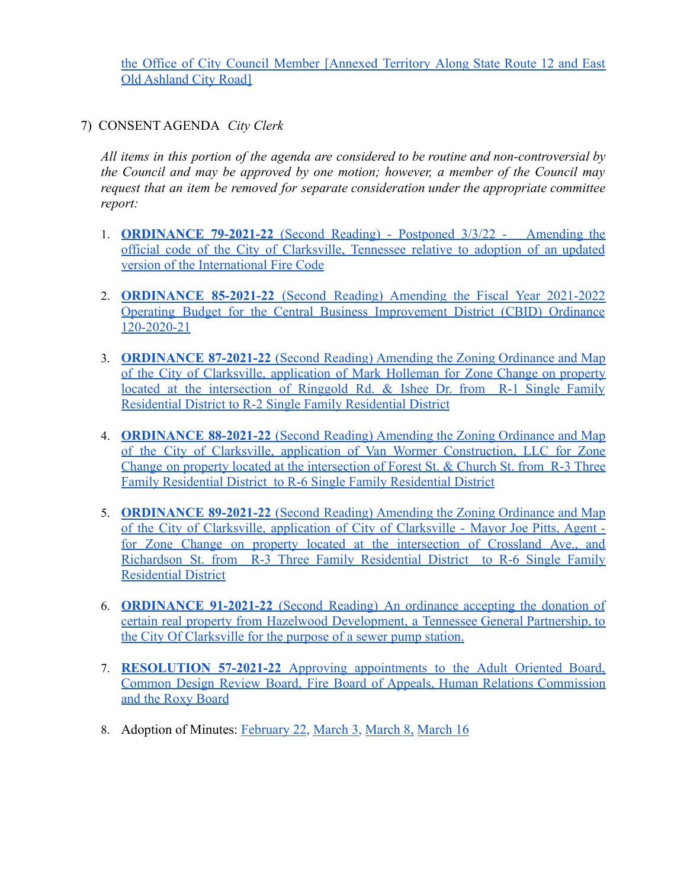the Office of City Council Member [\[Annexed](https://drive.google.com/file/d/1BsnNZ88mpMRylz_OgEtO5fUpZ9z9sxl3/view?usp=sharing) Territory Along State Route 12 and East [Old Ashland City Road\]](https://drive.google.com/file/d/1BsnNZ88mpMRylz_OgEtO5fUpZ9z9sxl3/view?usp=sharing)

7) CONSENT AGENDA *City Clerk*

*All items in this portion of the agenda are considered to be routine and non-controversial by the Council and may be approved by one motion; however, a member of the Council may request that an item be removed for separate consideration under the appropriate committee report:*

- 1. **[ORDINANCE](https://drive.google.com/file/d/13Q5Sejjj7cLyiEW43yqFm7W6b2pZ3hNq/view?usp=sharing) 79-2021-22** (Second [Reading](https://drive.google.com/open?id=10cy8QZe6Is9vwWClOdOegC7ycbLXWhVi)) Postponed 3/3/22 [Amending](https://drive.google.com/file/d/13Q5Sejjj7cLyiEW43yqFm7W6b2pZ3hNq/view?usp=sharing) the official code of the City of [Clarksville,](https://drive.google.com/file/d/13Q5Sejjj7cLyiEW43yqFm7W6b2pZ3hNq/view?usp=sharing) Tennessee relative to adoption of an updated [version of the International Fire Code](https://drive.google.com/file/d/13Q5Sejjj7cLyiEW43yqFm7W6b2pZ3hNq/view?usp=sharing)
- 2. **[ORDINANCE](https://drive.google.com/file/d/1Mwjyr6zCjCeRtqbHTZYrnqJFvFZC7JEA/view?usp=sharing) 85-2021-22** (Second Reading) Amending the Fiscal Year 2021-2022 Operating Budget for the Central Business [Improvement](https://drive.google.com/file/d/1Mwjyr6zCjCeRtqbHTZYrnqJFvFZC7JEA/view?usp=sharing) District (CBID) Ordinance [120-2020-21](https://drive.google.com/file/d/1Mwjyr6zCjCeRtqbHTZYrnqJFvFZC7JEA/view?usp=sharing)
- 3. **[ORDINANCE](https://drive.google.com/file/d/160a3ZTpQdm2IPmlwciaIxdtjXOuHLHPV/view?usp=sharing) 87-2021-22** (Second Reading) Amending the Zoning Ordinance and Map of the City of [Clarksville,](https://drive.google.com/file/d/160a3ZTpQdm2IPmlwciaIxdtjXOuHLHPV/view?usp=sharing) application of Mark Holleman for Zone Change on property located at the [intersection](https://drive.google.com/file/d/160a3ZTpQdm2IPmlwciaIxdtjXOuHLHPV/view?usp=sharing) of Ringgold Rd. & Ishee Dr. from R-1 Single Family [Residential District to R-2 Single Family Residential District](https://drive.google.com/file/d/160a3ZTpQdm2IPmlwciaIxdtjXOuHLHPV/view?usp=sharing)
- 4. **[ORDINANCE](https://drive.google.com/file/d/160cEa27K7mRG_uphVtM5e0fz1ShwtJJm/view?usp=sharing) 88-2021-22** (Second Reading) Amending the Zoning Ordinance and Map of the City of Clarksville, application of Van Wormer [Construction,](https://drive.google.com/file/d/160cEa27K7mRG_uphVtM5e0fz1ShwtJJm/view?usp=sharing) LLC for Zone Change on property located at the [intersection](https://drive.google.com/file/d/160cEa27K7mRG_uphVtM5e0fz1ShwtJJm/view?usp=sharing) of Forest St. & Church St. from R-3 Three [Family Residential District to R-6 Single Family Residential District](https://drive.google.com/file/d/160cEa27K7mRG_uphVtM5e0fz1ShwtJJm/view?usp=sharing)
- 5. **[ORDINANCE](https://drive.google.com/file/d/169I2h21Tp7DjCMP47X7yypYbG8rSnO3S/view?usp=sharing) 89-2021-22** (Second Reading) Amending the Zoning Ordinance and Map of the City of [Clarksville,](https://drive.google.com/file/d/169I2h21Tp7DjCMP47X7yypYbG8rSnO3S/view?usp=sharing) application of City of Clarksville - Mayor Joe Pitts, Agent for Zone Change on property located at the [intersection](https://drive.google.com/file/d/169I2h21Tp7DjCMP47X7yypYbG8rSnO3S/view?usp=sharing) of Crossland Ave., and [Richardson](https://drive.google.com/file/d/169I2h21Tp7DjCMP47X7yypYbG8rSnO3S/view?usp=sharing) St. from R-3 Three Family Residential District to R-6 Single Family [Residential District](https://drive.google.com/file/d/169I2h21Tp7DjCMP47X7yypYbG8rSnO3S/view?usp=sharing)
- 6. **[ORDINANCE](https://drive.google.com/file/d/16P6UDewzri6PIFEqLqDCW99yOLC5h6md/view?usp=sharing) 91-2021-22** (Second Reading) An ordinance accepting the donation of certain real property from Hazelwood [Development,](https://drive.google.com/file/d/16P6UDewzri6PIFEqLqDCW99yOLC5h6md/view?usp=sharing) a Tennessee General Partnership, to [the City Of Clarksville for the purpose of a sewer pump station.](https://drive.google.com/file/d/16P6UDewzri6PIFEqLqDCW99yOLC5h6md/view?usp=sharing)
- 7. **[RESOLUTION](https://drive.google.com/file/d/1C76Cpwh5hdIB1GCnDBzuSn1l0ISuM0jA/view?usp=sharing) 57-2021-22** Approving appointments to the Adult Oriented Board, Common Design Review Board, Fire Board of Appeals, Human Relations [Commission](https://drive.google.com/file/d/1C76Cpwh5hdIB1GCnDBzuSn1l0ISuM0jA/view?usp=sharing) [and the Roxy Board](https://drive.google.com/file/d/1C76Cpwh5hdIB1GCnDBzuSn1l0ISuM0jA/view?usp=sharing)
- 8. Adoption of Minutes: [February 22](https://drive.google.com/file/d/19wdMJmh3PaCtRYu1GqGN0lySGOmJM9Oi/view?usp=sharing), [March 3,](https://drive.google.com/file/d/19uj9dHPCrngg-rwvtDSfJ4gLNvrjLBYf/view?usp=sharing) [March 8,](https://drive.google.com/file/d/1C1J3mZGWlJHskiSLdD6Az8pMhKYrpEUv/view?usp=sharing) [March 16](https://drive.google.com/file/d/1BzsLEoOlGimDQH3xw7KgJFUGanSsbBjF/view?usp=sharing)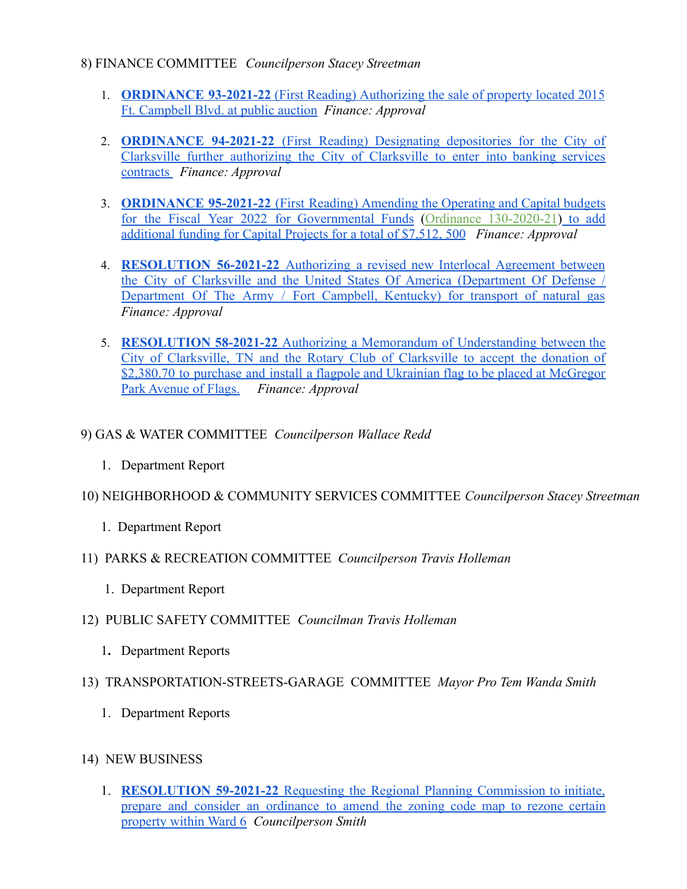#### 8) FINANCE COMMITTEE *Councilperson Stacey Streetman*

- 1. **[ORDINANCE](https://drive.google.com/file/d/19DjFNoRMSnOrlWwyKdzVOrmQ_RqpHYy4/view?usp=sharing) 93-2021-22** (First Reading) Authorizing the sale of property located 2015 [Ft. Campbell Blvd. at public auction](https://drive.google.com/file/d/19DjFNoRMSnOrlWwyKdzVOrmQ_RqpHYy4/view?usp=sharing) *Finance: Approval*
- 2. **[ORDINANCE](https://drive.google.com/file/d/18WYdM7Wclxqpqum6EFON93gXhj82aYGn/view?usp=sharing) 94-2021-22** (First Reading) Designating depositories for the City of Clarksville further [authorizing](https://drive.google.com/file/d/18WYdM7Wclxqpqum6EFON93gXhj82aYGn/view?usp=sharing) the City of Clarksville to enter into banking services [contracts](https://drive.google.com/file/d/18WYdM7Wclxqpqum6EFON93gXhj82aYGn/view?usp=sharing) *Finance: Approval*
- 3. **[ORDINANCE](https://drive.google.com/file/d/19NwaVJN7JLmN8rdFQkpknoRjq6_BvQRq/view?usp=sharing) 95-2021-22** (First Reading) Amending the Operating and Capital budgets for the Fiscal Year 2022 for [Governmental](https://drive.google.com/file/d/19NwaVJN7JLmN8rdFQkpknoRjq6_BvQRq/view?usp=sharing) Funds (Ordinance [130-2020-21](https://drive.google.com/file/d/18rJFiG1nmdrpS5LibQTMq1oV0GeGnOaN/view?usp=sharing)) to add additional funding for Capital Projects for a total of \$7,512, 500 *Finance: Approval*
- 4. **[RESOLUTION](https://drive.google.com/file/d/18WTdeQvd4QF4IVVXYJcZ1ko7OvNkIMVQ/view?usp=sharing) 56-2021-22** Authorizing a revised new Interlocal Agreement between the City of Clarksville and the United States Of America [\(Department](https://drive.google.com/file/d/18WTdeQvd4QF4IVVXYJcZ1ko7OvNkIMVQ/view?usp=sharing) Of Defense / [Department](https://drive.google.com/file/d/18WTdeQvd4QF4IVVXYJcZ1ko7OvNkIMVQ/view?usp=sharing) Of The Army / Fort Campbell, Kentucky) for transport of natural gas *Finance: Approval*
- 5. **[RESOLUTION](https://drive.google.com/file/d/19eXuvZWdj7zl_FHv_wHSm-UMyoQWTEMG/view?usp=sharing) 58-2021-22** Authorizing a Memorandum of Understanding between the City of [Clarksville,](https://drive.google.com/file/d/19eXuvZWdj7zl_FHv_wHSm-UMyoQWTEMG/view?usp=sharing) TN and the Rotary Club of Clarksville to accept the donation of \$2,380.70 to purchase and install a flagpole and Ukrainian flag to be placed at [McGregor](https://drive.google.com/file/d/19eXuvZWdj7zl_FHv_wHSm-UMyoQWTEMG/view?usp=sharing) [Park Avenue of Flags.](https://drive.google.com/file/d/19eXuvZWdj7zl_FHv_wHSm-UMyoQWTEMG/view?usp=sharing) *Finance: Approval*

#### 9) GAS & WATER COMMITTEE *Councilperson Wallace Redd*

1. Department Report

### 10) NEIGHBORHOOD & COMMUNITY SERVICES COMMITTEE *Councilperson Stacey Streetman*

- 1. Department Report
- 11) PARKS & RECREATION COMMITTEE *Councilperson Travis Holleman*
	- 1. Department Report
- 12) PUBLIC SAFETY COMMITTEE *Councilman Travis Holleman*
	- 1**.** Department Reports

#### 13) TRANSPORTATION-STREETS-GARAGE COMMITTEE *Mayor Pro Tem Wanda Smith*

- 1. Department Reports
- 14) NEW BUSINESS
	- 1. **[RESOLUTION](https://drive.google.com/file/d/1C2owCvdc3hApkY_BOTJRDU0_zkvb-zJA/view?usp=sharing) 59-2021-22** Requesting the Regional Planning Commission to initiate, prepare and consider an [ordinance](https://drive.google.com/file/d/1C2owCvdc3hApkY_BOTJRDU0_zkvb-zJA/view?usp=sharing) to amend the zoning code map to rezone certain [property within Ward 6](https://drive.google.com/file/d/1C2owCvdc3hApkY_BOTJRDU0_zkvb-zJA/view?usp=sharing) *Councilperson Smith*